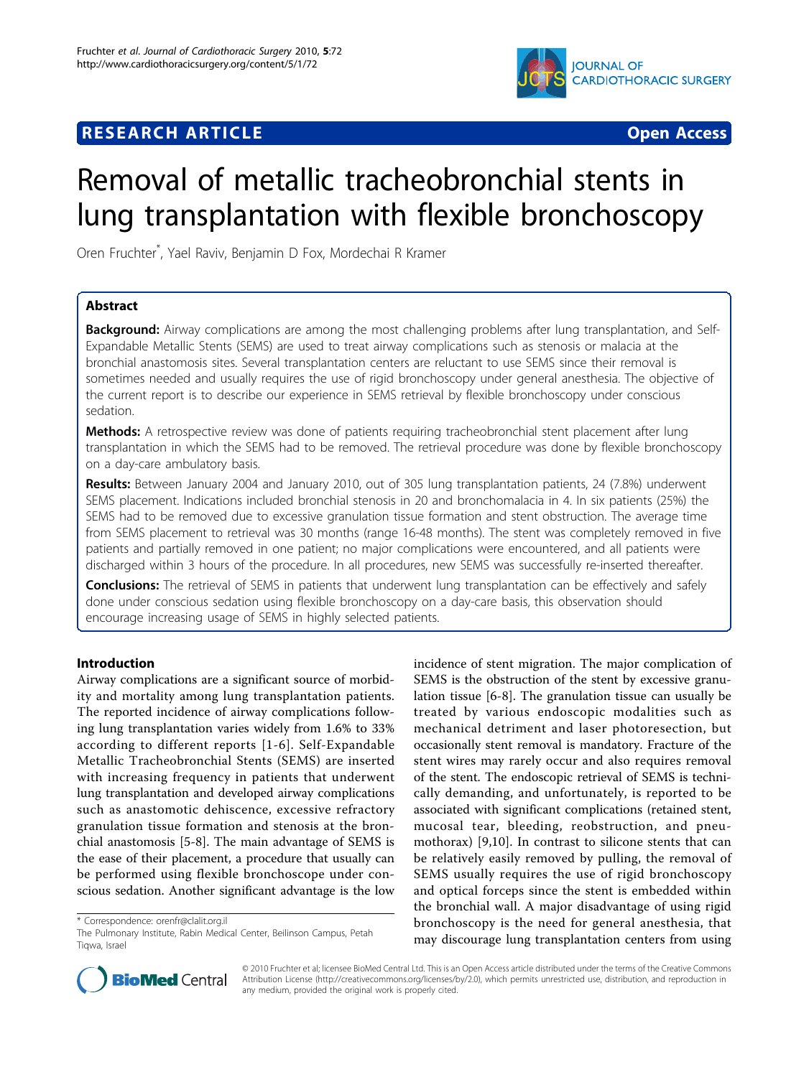

# **RESEARCH ARTICLE Example 2018 CONSUMING ACCESS**



# Removal of metallic tracheobronchial stents in lung transplantation with flexible bronchoscopy

Oren Fruchter\* , Yael Raviv, Benjamin D Fox, Mordechai R Kramer

# Abstract

**Background:** Airway complications are among the most challenging problems after lung transplantation, and Self-Expandable Metallic Stents (SEMS) are used to treat airway complications such as stenosis or malacia at the bronchial anastomosis sites. Several transplantation centers are reluctant to use SEMS since their removal is sometimes needed and usually requires the use of rigid bronchoscopy under general anesthesia. The objective of the current report is to describe our experience in SEMS retrieval by flexible bronchoscopy under conscious sedation.

Methods: A retrospective review was done of patients requiring tracheobronchial stent placement after lung transplantation in which the SEMS had to be removed. The retrieval procedure was done by flexible bronchoscopy on a day-care ambulatory basis.

Results: Between January 2004 and January 2010, out of 305 lung transplantation patients, 24 (7.8%) underwent SEMS placement. Indications included bronchial stenosis in 20 and bronchomalacia in 4. In six patients (25%) the SEMS had to be removed due to excessive granulation tissue formation and stent obstruction. The average time from SEMS placement to retrieval was 30 months (range 16-48 months). The stent was completely removed in five patients and partially removed in one patient; no major complications were encountered, and all patients were discharged within 3 hours of the procedure. In all procedures, new SEMS was successfully re-inserted thereafter.

**Conclusions:** The retrieval of SEMS in patients that underwent lung transplantation can be effectively and safely done under conscious sedation using flexible bronchoscopy on a day-care basis, this observation should encourage increasing usage of SEMS in highly selected patients.

# Introduction

Airway complications are a significant source of morbidity and mortality among lung transplantation patients. The reported incidence of airway complications following lung transplantation varies widely from 1.6% to 33% according to different reports [[1](#page-3-0)-[6\]](#page-3-0). Self-Expandable Metallic Tracheobronchial Stents (SEMS) are inserted with increasing frequency in patients that underwent lung transplantation and developed airway complications such as anastomotic dehiscence, excessive refractory granulation tissue formation and stenosis at the bronchial anastomosis [\[5](#page-3-0)-[8\]](#page-3-0). The main advantage of SEMS is the ease of their placement, a procedure that usually can be performed using flexible bronchoscope under conscious sedation. Another significant advantage is the low

\* Correspondence: [orenfr@clalit.org.il](mailto:orenfr@clalit.org.il)

incidence of stent migration. The major complication of SEMS is the obstruction of the stent by excessive granulation tissue [\[6-8\]](#page-3-0). The granulation tissue can usually be treated by various endoscopic modalities such as mechanical detriment and laser photoresection, but occasionally stent removal is mandatory. Fracture of the stent wires may rarely occur and also requires removal of the stent. The endoscopic retrieval of SEMS is technically demanding, and unfortunately, is reported to be associated with significant complications (retained stent, mucosal tear, bleeding, reobstruction, and pneumothorax) [[9,10](#page-3-0)]. In contrast to silicone stents that can be relatively easily removed by pulling, the removal of SEMS usually requires the use of rigid bronchoscopy and optical forceps since the stent is embedded within the bronchial wall. A major disadvantage of using rigid bronchoscopy is the need for general anesthesia, that may discourage lung transplantation centers from using



© 2010 Fruchter et al; licensee BioMed Central Ltd. This is an Open Access article distributed under the terms of the Creative Commons Attribution License [\(http://creativecommons.org/licenses/by/2.0](http://creativecommons.org/licenses/by/2.0)), which permits unrestricted use, distribution, and reproduction in any medium, provided the original work is properly cited.

The Pulmonary Institute, Rabin Medical Center, Beilinson Campus, Petah Tiqwa, Israel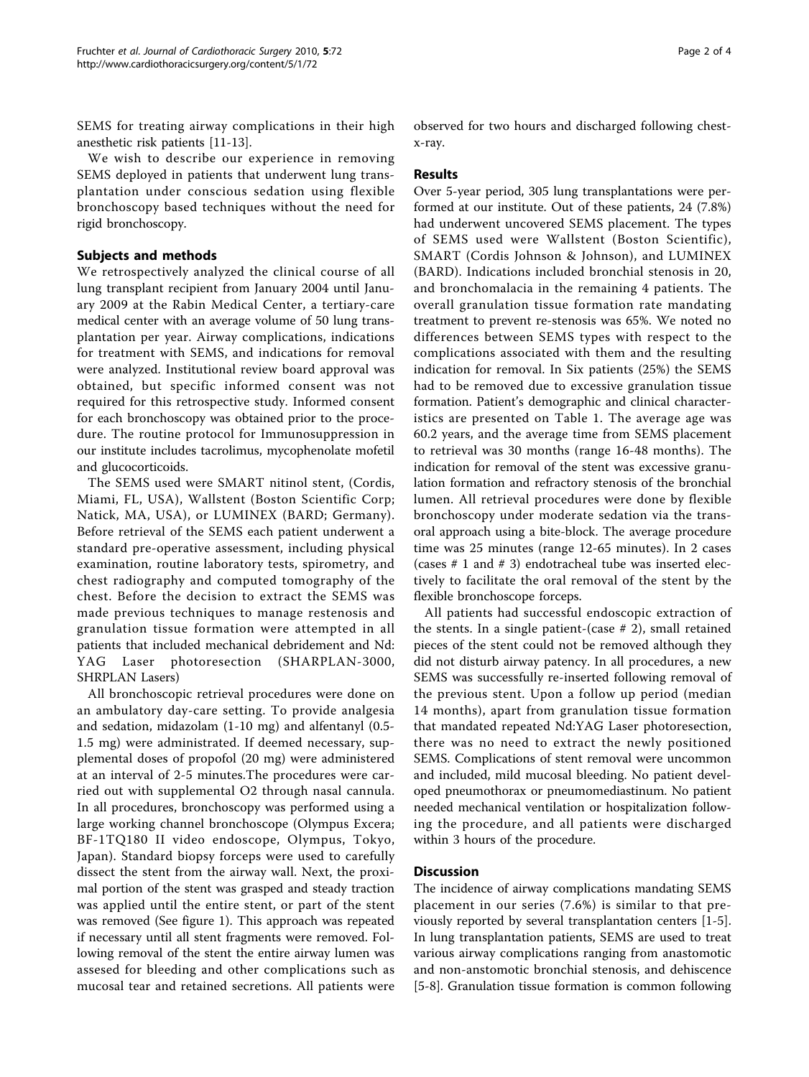SEMS for treating airway complications in their high anesthetic risk patients [\[11-13](#page-3-0)].

We wish to describe our experience in removing SEMS deployed in patients that underwent lung transplantation under conscious sedation using flexible bronchoscopy based techniques without the need for rigid bronchoscopy.

## Subjects and methods

We retrospectively analyzed the clinical course of all lung transplant recipient from January 2004 until January 2009 at the Rabin Medical Center, a tertiary-care medical center with an average volume of 50 lung transplantation per year. Airway complications, indications for treatment with SEMS, and indications for removal were analyzed. Institutional review board approval was obtained, but specific informed consent was not required for this retrospective study. Informed consent for each bronchoscopy was obtained prior to the procedure. The routine protocol for Immunosuppression in our institute includes tacrolimus, mycophenolate mofetil and glucocorticoids.

The SEMS used were SMART nitinol stent, (Cordis, Miami, FL, USA), Wallstent (Boston Scientific Corp; Natick, MA, USA), or LUMINEX (BARD; Germany). Before retrieval of the SEMS each patient underwent a standard pre-operative assessment, including physical examination, routine laboratory tests, spirometry, and chest radiography and computed tomography of the chest. Before the decision to extract the SEMS was made previous techniques to manage restenosis and granulation tissue formation were attempted in all patients that included mechanical debridement and Nd: YAG Laser photoresection (SHARPLAN-3000, SHRPLAN Lasers)

All bronchoscopic retrieval procedures were done on an ambulatory day-care setting. To provide analgesia and sedation, midazolam (1-10 mg) and alfentanyl (0.5- 1.5 mg) were administrated. If deemed necessary, supplemental doses of propofol (20 mg) were administered at an interval of 2-5 minutes.The procedures were carried out with supplemental O2 through nasal cannula. In all procedures, bronchoscopy was performed using a large working channel bronchoscope (Olympus Excera; BF-1TQ180 II video endoscope, Olympus, Tokyo, Japan). Standard biopsy forceps were used to carefully dissect the stent from the airway wall. Next, the proximal portion of the stent was grasped and steady traction was applied until the entire stent, or part of the stent was removed (See figure [1\)](#page-2-0). This approach was repeated if necessary until all stent fragments were removed. Following removal of the stent the entire airway lumen was assesed for bleeding and other complications such as mucosal tear and retained secretions. All patients were

observed for two hours and discharged following chestx-ray.

#### Results

Over 5-year period, 305 lung transplantations were performed at our institute. Out of these patients, 24 (7.8%) had underwent uncovered SEMS placement. The types of SEMS used were Wallstent (Boston Scientific), SMART (Cordis Johnson & Johnson), and LUMINEX (BARD). Indications included bronchial stenosis in 20, and bronchomalacia in the remaining 4 patients. The overall granulation tissue formation rate mandating treatment to prevent re-stenosis was 65%. We noted no differences between SEMS types with respect to the complications associated with them and the resulting indication for removal. In Six patients (25%) the SEMS had to be removed due to excessive granulation tissue formation. Patient's demographic and clinical characteristics are presented on Table [1.](#page-2-0) The average age was 60.2 years, and the average time from SEMS placement to retrieval was 30 months (range 16-48 months). The indication for removal of the stent was excessive granulation formation and refractory stenosis of the bronchial lumen. All retrieval procedures were done by flexible bronchoscopy under moderate sedation via the transoral approach using a bite-block. The average procedure time was 25 minutes (range 12-65 minutes). In 2 cases (cases # 1 and # 3) endotracheal tube was inserted electively to facilitate the oral removal of the stent by the flexible bronchoscope forceps.

All patients had successful endoscopic extraction of the stents. In a single patient-(case  $# 2$ ), small retained pieces of the stent could not be removed although they did not disturb airway patency. In all procedures, a new SEMS was successfully re-inserted following removal of the previous stent. Upon a follow up period (median 14 months), apart from granulation tissue formation that mandated repeated Nd:YAG Laser photoresection, there was no need to extract the newly positioned SEMS. Complications of stent removal were uncommon and included, mild mucosal bleeding. No patient developed pneumothorax or pneumomediastinum. No patient needed mechanical ventilation or hospitalization following the procedure, and all patients were discharged within 3 hours of the procedure.

## **Discussion**

The incidence of airway complications mandating SEMS placement in our series (7.6%) is similar to that previously reported by several transplantation centers [[1-5](#page-3-0)]. In lung transplantation patients, SEMS are used to treat various airway complications ranging from anastomotic and non-anstomotic bronchial stenosis, and dehiscence [[5-8](#page-3-0)]. Granulation tissue formation is common following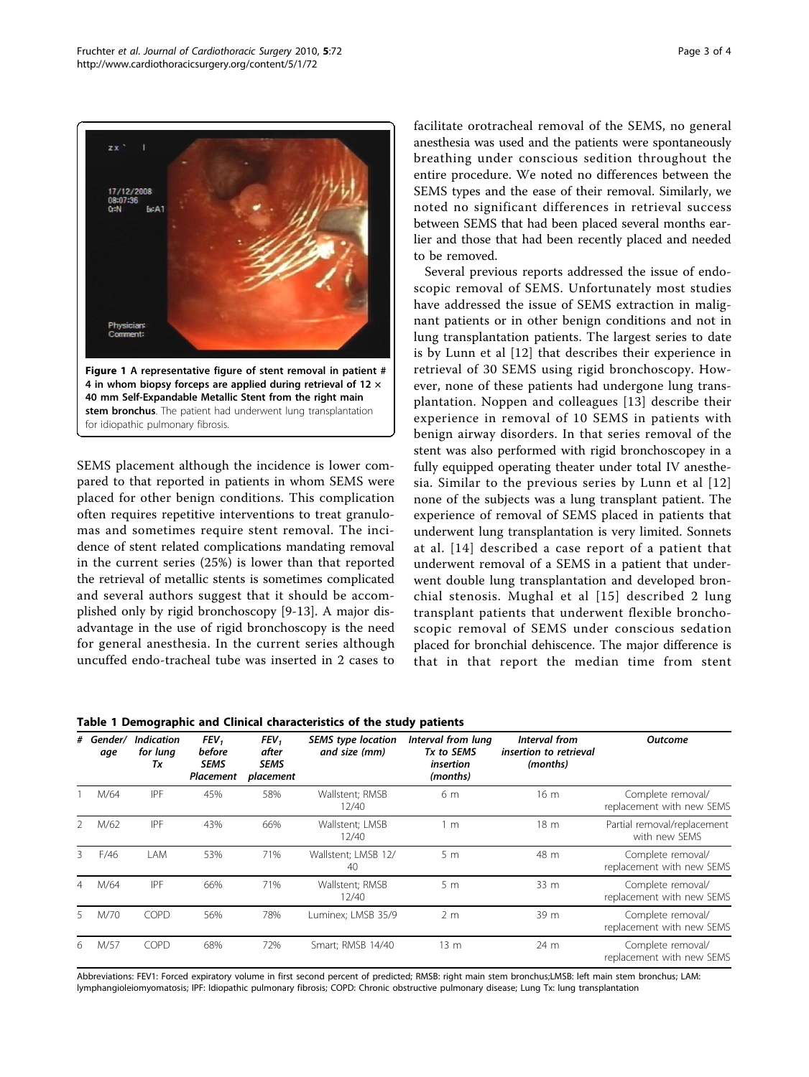<span id="page-2-0"></span>

4 in whom biopsy forceps are applied during retrieval of 12  $\times$ 40 mm Self-Expandable Metallic Stent from the right main stem bronchus. The patient had underwent lung transplantation for idiopathic pulmonary fibrosis.

SEMS placement although the incidence is lower compared to that reported in patients in whom SEMS were placed for other benign conditions. This complication often requires repetitive interventions to treat granulomas and sometimes require stent removal. The incidence of stent related complications mandating removal in the current series (25%) is lower than that reported the retrieval of metallic stents is sometimes complicated and several authors suggest that it should be accomplished only by rigid bronchoscopy [\[9](#page-3-0)-[13\]](#page-3-0). A major disadvantage in the use of rigid bronchoscopy is the need for general anesthesia. In the current series although uncuffed endo-tracheal tube was inserted in 2 cases to facilitate orotracheal removal of the SEMS, no general anesthesia was used and the patients were spontaneously breathing under conscious sedition throughout the entire procedure. We noted no differences between the SEMS types and the ease of their removal. Similarly, we noted no significant differences in retrieval success between SEMS that had been placed several months earlier and those that had been recently placed and needed to be removed.

Several previous reports addressed the issue of endoscopic removal of SEMS. Unfortunately most studies have addressed the issue of SEMS extraction in malignant patients or in other benign conditions and not in lung transplantation patients. The largest series to date is by Lunn et al [\[12](#page-3-0)] that describes their experience in retrieval of 30 SEMS using rigid bronchoscopy. However, none of these patients had undergone lung transplantation. Noppen and colleagues [\[13\]](#page-3-0) describe their experience in removal of 10 SEMS in patients with benign airway disorders. In that series removal of the stent was also performed with rigid bronchoscopey in a fully equipped operating theater under total IV anesthesia. Similar to the previous series by Lunn et al [[12](#page-3-0)] none of the subjects was a lung transplant patient. The experience of removal of SEMS placed in patients that underwent lung transplantation is very limited. Sonnets at al. [[14\]](#page-3-0) described a case report of a patient that underwent removal of a SEMS in a patient that underwent double lung transplantation and developed bronchial stenosis. Mughal et al [[15](#page-3-0)] described 2 lung transplant patients that underwent flexible bronchoscopic removal of SEMS under conscious sedation placed for bronchial dehiscence. The major difference is that in that report the median time from stent

|  |  |  |  | Table 1 Demographic and Clinical characteristics of the study patients |
|--|--|--|--|------------------------------------------------------------------------|
|--|--|--|--|------------------------------------------------------------------------|

|   | # Gender/<br>age | <b>Indication</b><br>for lung<br>Тx | FEV <sub>1</sub><br>before<br><b>SEMS</b><br>Placement | FEV <sub>1</sub><br>after<br>SEMS<br>placement | <b>SEMS</b> type location<br>and size (mm) | Interval from lung<br>Tx to SEMS<br>insertion<br>(months) | Interval from<br>insertion to retrieval<br>(months) | <b>Outcome</b>                                 |
|---|------------------|-------------------------------------|--------------------------------------------------------|------------------------------------------------|--------------------------------------------|-----------------------------------------------------------|-----------------------------------------------------|------------------------------------------------|
|   | M/64             | IPF                                 | 45%                                                    | 58%                                            | Wallstent; RMSB<br>12/40                   | 6 m                                                       | 16 <sub>m</sub>                                     | Complete removal/<br>replacement with new SEMS |
|   | M/62             | IPF                                 | 43%                                                    | 66%                                            | Wallstent; LMSB<br>12/40                   | 1 <sub>m</sub>                                            | 18 <sub>m</sub>                                     | Partial removal/replacement<br>with new SEMS   |
| 3 | F/46             | LAM                                 | 53%                                                    | 71%                                            | Wallstent; LMSB 12/<br>40                  | 5 <sub>m</sub>                                            | 48 m                                                | Complete removal/<br>replacement with new SEMS |
| 4 | M/64             | IPF                                 | 66%                                                    | 71%                                            | Wallstent; RMSB<br>12/40                   | 5 <sub>m</sub>                                            | 33 m                                                | Complete removal/<br>replacement with new SEMS |
|   | M/70             | COPD                                | 56%                                                    | 78%                                            | Luminex; LMSB 35/9                         | 2 <sub>m</sub>                                            | 39 m                                                | Complete removal/<br>replacement with new SEMS |
| 6 | M/57             | COPD                                | 68%                                                    | 72%                                            | Smart; RMSB 14/40                          | 13 <sub>m</sub>                                           | 24 m                                                | Complete removal/<br>replacement with new SEMS |

Abbreviations: FEV1: Forced expiratory volume in first second percent of predicted; RMSB: right main stem bronchus;LMSB: left main stem bronchus; LAM: lymphangioleiomyomatosis; IPF: Idiopathic pulmonary fibrosis; COPD: Chronic obstructive pulmonary disease; Lung Tx: lung transplantation